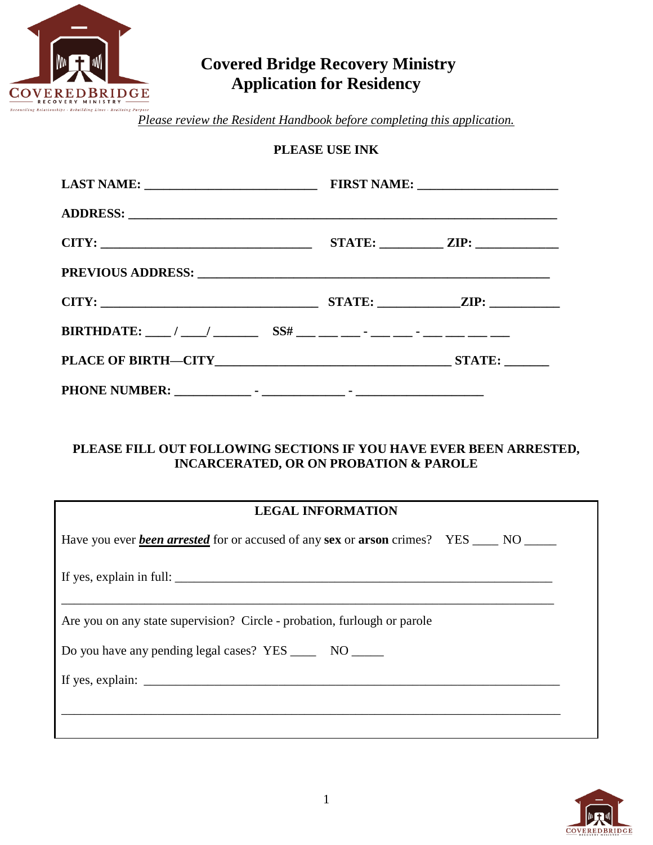

# **Covered Bridge Recovery Ministry Application for Residency**

*Please review the Resident Handbook before completing this application.*

#### **PLEASE USE INK**

|  | $STATE:$ $ZIP:$ $\qquad \qquad$ |
|--|---------------------------------|
|  |                                 |
|  |                                 |
|  |                                 |
|  |                                 |
|  |                                 |

#### **PLEASE FILL OUT FOLLOWING SECTIONS IF YOU HAVE EVER BEEN ARRESTED, INCARCERATED, OR ON PROBATION & PAROLE**

| <b>LEGAL INFORMATION</b>                                                                                                                                                                                                                                                                         |  |
|--------------------------------------------------------------------------------------------------------------------------------------------------------------------------------------------------------------------------------------------------------------------------------------------------|--|
| Have you ever <b>been arrested</b> for or accused of any sex or <b>arson</b> crimes? YES ____ NO ____                                                                                                                                                                                            |  |
| If yes, explain in full:                                                                                                                                                                                                                                                                         |  |
| Are you on any state supervision? Circle - probation, furlough or parole                                                                                                                                                                                                                         |  |
| Do you have any pending legal cases? YES ________ NO _______                                                                                                                                                                                                                                     |  |
| If yes, explain: $\frac{1}{2}$ = $\frac{1}{2}$ = $\frac{1}{2}$ = $\frac{1}{2}$ = $\frac{1}{2}$ = $\frac{1}{2}$ = $\frac{1}{2}$ = $\frac{1}{2}$ = $\frac{1}{2}$ = $\frac{1}{2}$ = $\frac{1}{2}$ = $\frac{1}{2}$ = $\frac{1}{2}$ = $\frac{1}{2}$ = $\frac{1}{2}$ = $\frac{1}{2}$ = $\frac{1}{2}$ = |  |
|                                                                                                                                                                                                                                                                                                  |  |
|                                                                                                                                                                                                                                                                                                  |  |

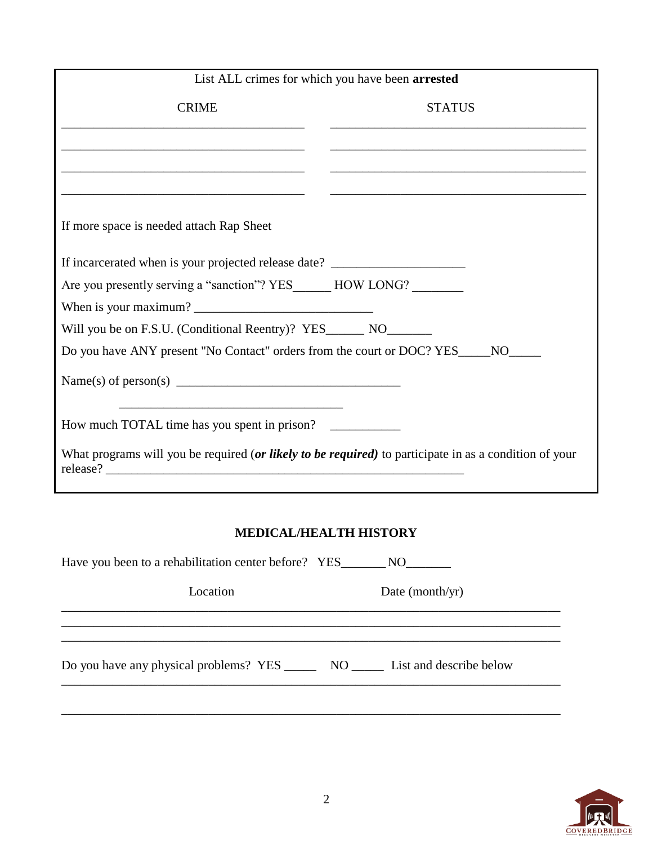| List ALL crimes for which you have been arrested                                                                                                                                                                                                                                                   |                                                                                                                        |  |
|----------------------------------------------------------------------------------------------------------------------------------------------------------------------------------------------------------------------------------------------------------------------------------------------------|------------------------------------------------------------------------------------------------------------------------|--|
| <b>CRIME</b>                                                                                                                                                                                                                                                                                       | <b>STATUS</b>                                                                                                          |  |
|                                                                                                                                                                                                                                                                                                    | <u> 1989 - Johann John Harry Harry Harry Harry Harry Harry Harry Harry Harry Harry Harry Harry Harry Harry Harry H</u> |  |
|                                                                                                                                                                                                                                                                                                    |                                                                                                                        |  |
|                                                                                                                                                                                                                                                                                                    |                                                                                                                        |  |
| If more space is needed attach Rap Sheet                                                                                                                                                                                                                                                           |                                                                                                                        |  |
| If incarcerated when is your projected release date? ___________________________                                                                                                                                                                                                                   |                                                                                                                        |  |
| Are you presently serving a "sanction"? YES_______ HOW LONG?                                                                                                                                                                                                                                       |                                                                                                                        |  |
| When is your maximum?                                                                                                                                                                                                                                                                              |                                                                                                                        |  |
| Will you be on F.S.U. (Conditional Reentry)? YES_______ NO________                                                                                                                                                                                                                                 |                                                                                                                        |  |
| Do you have ANY present "No Contact" orders from the court or DOC? YES_                                                                                                                                                                                                                            | NO <sub>1</sub>                                                                                                        |  |
| Name(s) of person(s) $\frac{1}{2}$ = $\frac{1}{2}$ = $\frac{1}{2}$ = $\frac{1}{2}$ = $\frac{1}{2}$ = $\frac{1}{2}$ = $\frac{1}{2}$ = $\frac{1}{2}$ = $\frac{1}{2}$ = $\frac{1}{2}$ = $\frac{1}{2}$ = $\frac{1}{2}$ = $\frac{1}{2}$ = $\frac{1}{2}$ = $\frac{1}{2}$ = $\frac{1}{2}$ = $\frac{1}{2}$ |                                                                                                                        |  |
| How much TOTAL time has you spent in prison?                                                                                                                                                                                                                                                       |                                                                                                                        |  |
| What programs will you be required (or likely to be required) to participate in as a condition of your                                                                                                                                                                                             |                                                                                                                        |  |

## **MEDICAL/HEALTH HISTORY**

| Location                                                                            | Date (month/yr) |
|-------------------------------------------------------------------------------------|-----------------|
|                                                                                     |                 |
| Do you have any physical problems? YES ________ NO ________ List and describe below |                 |
|                                                                                     |                 |

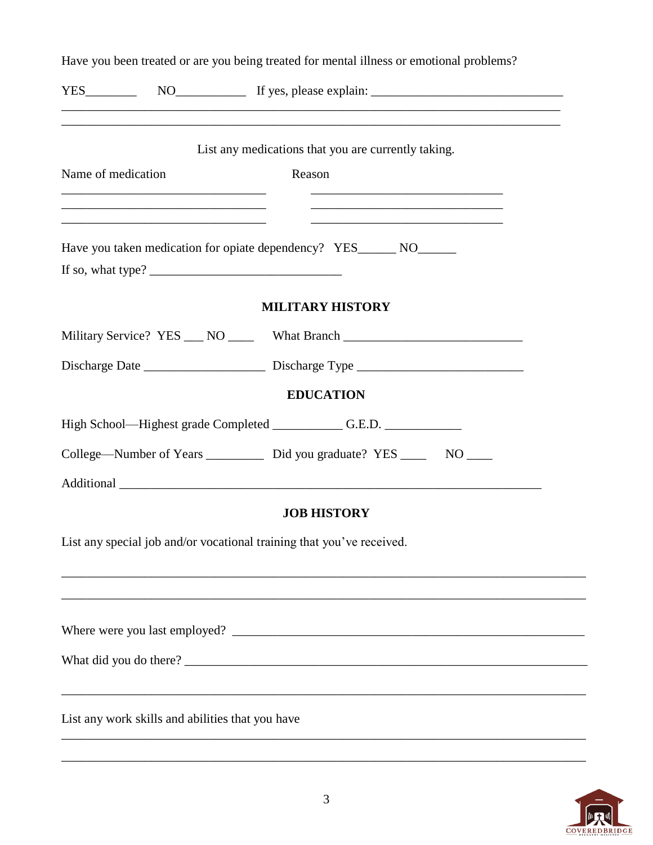|                    |                                                  | Have you been treated or are you being treated for mental illness or emotional problems?      |
|--------------------|--------------------------------------------------|-----------------------------------------------------------------------------------------------|
|                    |                                                  | ,我们也不能在这里的时候,我们也不能在这里的时候,我们也不能在这里的时候,我们也不能会在这里的时候,我们也不能会在这里的时候,我们也不能会在这里的时候,我们也不能             |
|                    |                                                  | List any medications that you are currently taking.                                           |
| Name of medication |                                                  | Reason                                                                                        |
|                    |                                                  | and the control of the control of the control of the control of the control of the control of |
|                    |                                                  | Have you taken medication for opiate dependency? YES_______ NO______                          |
|                    |                                                  | If so, what type? $\frac{1}{\sqrt{1-\frac{1}{2}} \cdot \frac{1}{\sqrt{1-\frac{1}{2}}}}$       |
|                    |                                                  | <b>MILITARY HISTORY</b>                                                                       |
|                    |                                                  | Military Service? YES ___ NO _____ What Branch _________________________________              |
|                    |                                                  |                                                                                               |
|                    |                                                  | <b>EDUCATION</b>                                                                              |
|                    |                                                  | High School—Highest grade Completed ______________G.E.D. ________________________             |
|                    |                                                  | College—Number of Years ___________ Did you graduate? YES ______ NO ____                      |
|                    |                                                  |                                                                                               |
|                    |                                                  | <b>JOB HISTORY</b>                                                                            |
|                    |                                                  | List any special job and/or vocational training that you've received.                         |
|                    |                                                  |                                                                                               |
|                    |                                                  |                                                                                               |
|                    |                                                  |                                                                                               |
|                    |                                                  |                                                                                               |
|                    |                                                  |                                                                                               |
|                    | List any work skills and abilities that you have |                                                                                               |
|                    |                                                  |                                                                                               |



\_\_\_\_\_\_\_\_\_\_\_\_\_\_\_\_\_\_\_\_\_\_\_\_\_\_\_\_\_\_\_\_\_\_\_\_\_\_\_\_\_\_\_\_\_\_\_\_\_\_\_\_\_\_\_\_\_\_\_\_\_\_\_\_\_\_\_\_\_\_\_\_\_\_\_\_\_\_\_\_\_\_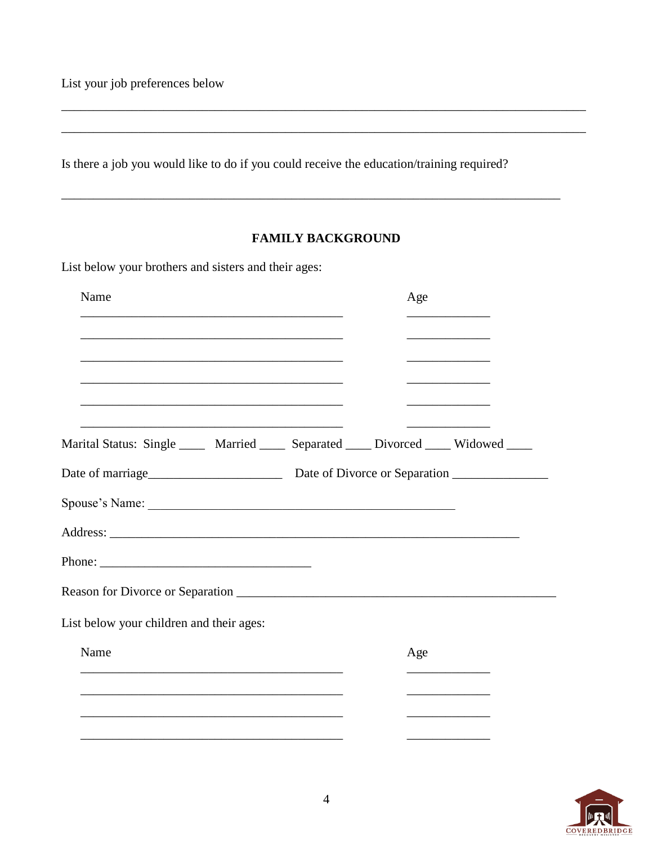List your job preferences below

Is there a job you would like to do if you could receive the education/training required?

#### **FAMILY BACKGROUND**

List below your brothers and sisters and their ages:

| Name                                                                                                                                                                                                                           |                                                                                                                       | Age | <u> 1990 - Johann Barbara, martin a</u>      |
|--------------------------------------------------------------------------------------------------------------------------------------------------------------------------------------------------------------------------------|-----------------------------------------------------------------------------------------------------------------------|-----|----------------------------------------------|
| <u> 1989 - Johann John Stoff, deutscher Stoffen und der Stoffen und der Stoffen und der Stoffen und der Stoffen</u>                                                                                                            |                                                                                                                       |     |                                              |
|                                                                                                                                                                                                                                |                                                                                                                       |     | the control of the control of the control of |
| Marital Status: Single _____ Married ____ Separated ____ Divorced ____ Widowed ____                                                                                                                                            |                                                                                                                       |     |                                              |
| Date of marriage<br><u>Date of Divorce or Separation</u>                                                                                                                                                                       |                                                                                                                       |     |                                              |
| Spouse's Name: 2008 Contract Contract Contract Contract Contract Contract Contract Contract Contract Contract Contract Contract Contract Contract Contract Contract Contract Contract Contract Contract Contract Contract Cont |                                                                                                                       |     |                                              |
|                                                                                                                                                                                                                                |                                                                                                                       |     |                                              |
|                                                                                                                                                                                                                                |                                                                                                                       |     |                                              |
|                                                                                                                                                                                                                                |                                                                                                                       |     |                                              |
| List below your children and their ages:                                                                                                                                                                                       |                                                                                                                       |     |                                              |
| Name                                                                                                                                                                                                                           |                                                                                                                       | Age |                                              |
|                                                                                                                                                                                                                                | <u> 1989 - Johann Stoff, deutscher Stoff, der Stoff, der Stoff, der Stoff, der Stoff, der Stoff, der Stoff, der S</u> |     |                                              |
|                                                                                                                                                                                                                                |                                                                                                                       |     |                                              |
|                                                                                                                                                                                                                                |                                                                                                                       |     |                                              |

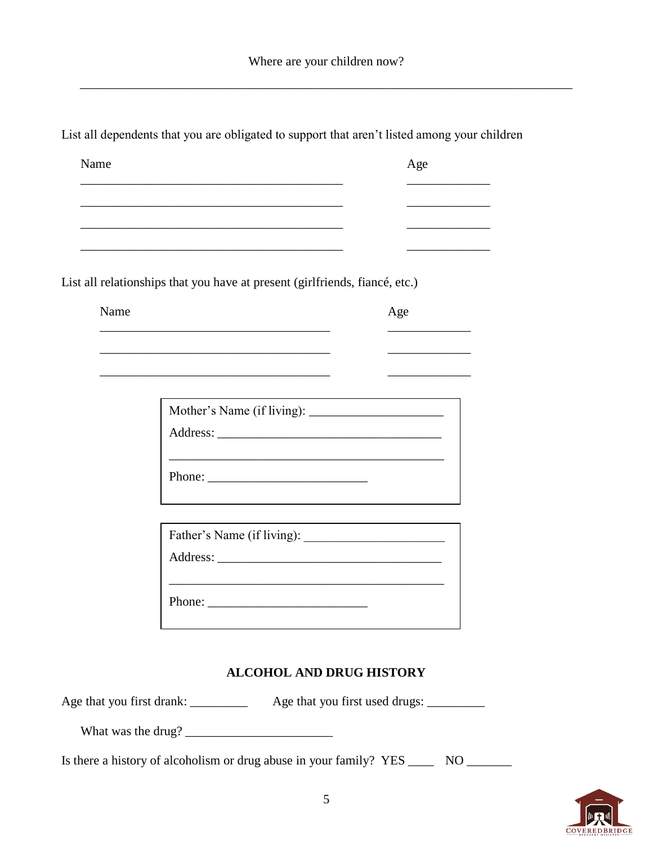\_\_\_\_\_\_\_\_\_\_\_\_\_\_\_\_\_\_\_\_\_\_\_\_\_\_\_\_\_\_\_\_\_\_\_\_\_\_\_\_\_\_\_\_\_\_\_\_\_\_\_\_\_\_\_\_\_\_\_\_\_\_\_\_\_\_\_\_\_\_\_\_\_\_\_\_\_

\_\_\_\_\_\_\_\_\_\_\_\_\_\_\_\_\_\_\_\_\_\_\_\_\_\_\_\_\_\_\_\_\_\_\_\_ \_\_\_\_\_\_\_\_\_\_\_\_\_

\_\_\_\_\_\_\_\_\_\_\_\_\_\_\_\_\_\_\_\_\_\_\_\_\_\_\_\_\_\_\_\_\_\_\_\_ \_\_\_\_\_\_\_\_\_\_\_\_\_

\_\_\_\_\_\_\_\_\_\_\_\_\_\_\_\_\_\_\_\_\_\_\_\_\_\_\_\_\_\_\_\_\_\_\_\_ \_\_\_\_\_\_\_\_\_\_\_\_\_

List all dependents that you are obligated to support that aren't listed among your children

Name Age

| Phone: $\frac{1}{\sqrt{1-\frac{1}{2}} \cdot \frac{1}{2} \cdot \frac{1}{2} \cdot \frac{1}{2} \cdot \frac{1}{2} \cdot \frac{1}{2} \cdot \frac{1}{2} \cdot \frac{1}{2} \cdot \frac{1}{2} \cdot \frac{1}{2} \cdot \frac{1}{2} \cdot \frac{1}{2} \cdot \frac{1}{2} \cdot \frac{1}{2} \cdot \frac{1}{2} \cdot \frac{1}{2} \cdot \frac{1}{2} \cdot \frac{1}{2} \cdot \frac{1}{2} \cdot \frac{1}{2} \cdot \frac{1}{2} \cdot \frac{1}{2} \cdot \frac{1}{2$ |  |
|---------------------------------------------------------------------------------------------------------------------------------------------------------------------------------------------------------------------------------------------------------------------------------------------------------------------------------------------------------------------------------------------------------------------------------------------------|--|
|                                                                                                                                                                                                                                                                                                                                                                                                                                                   |  |

| Father's Name (if living): |  |
|----------------------------|--|
|                            |  |
|                            |  |
|                            |  |

#### **ALCOHOL AND DRUG HISTORY**

Age that you first drank: \_\_\_\_\_\_\_\_ Age that you first used drugs: \_\_\_\_\_\_\_\_

What was the drug? \_\_\_\_\_\_\_\_\_\_\_\_\_\_\_\_\_\_\_\_\_\_\_

Is there a history of alcoholism or drug abuse in your family? YES \_\_\_\_\_\_ NO \_\_\_\_\_\_\_

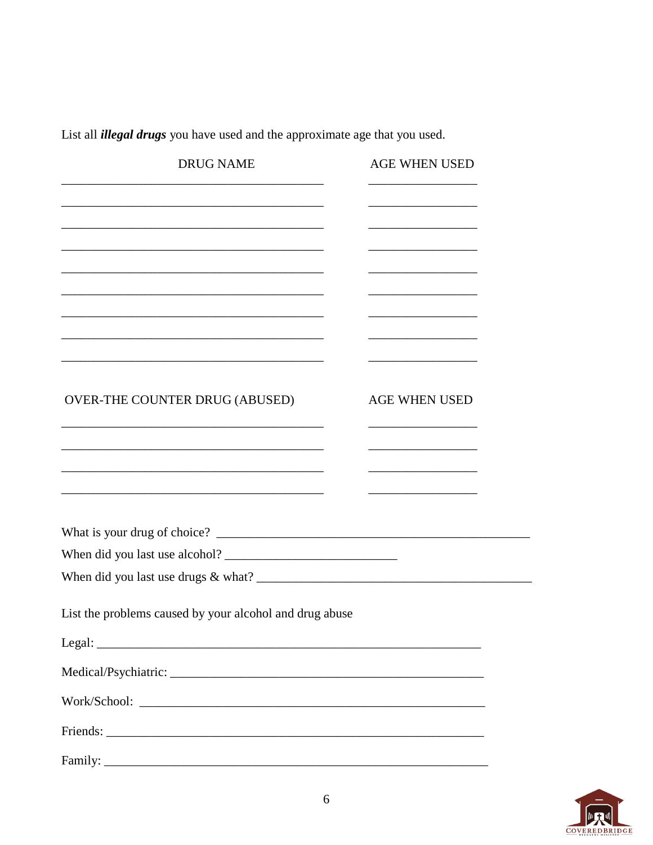List all *illegal drugs* you have used and the approximate age that you used.

| <b>DRUG NAME</b>                                        | <b>AGE WHEN USED</b> |
|---------------------------------------------------------|----------------------|
|                                                         |                      |
|                                                         |                      |
|                                                         |                      |
|                                                         |                      |
|                                                         |                      |
| <b>OVER-THE COUNTER DRUG (ABUSED)</b>                   | <b>AGE WHEN USED</b> |
|                                                         |                      |
|                                                         |                      |
|                                                         |                      |
|                                                         |                      |
|                                                         |                      |
|                                                         |                      |
| List the problems caused by your alcohol and drug abuse |                      |
| Legal:                                                  |                      |
|                                                         |                      |
|                                                         |                      |
|                                                         |                      |
|                                                         |                      |

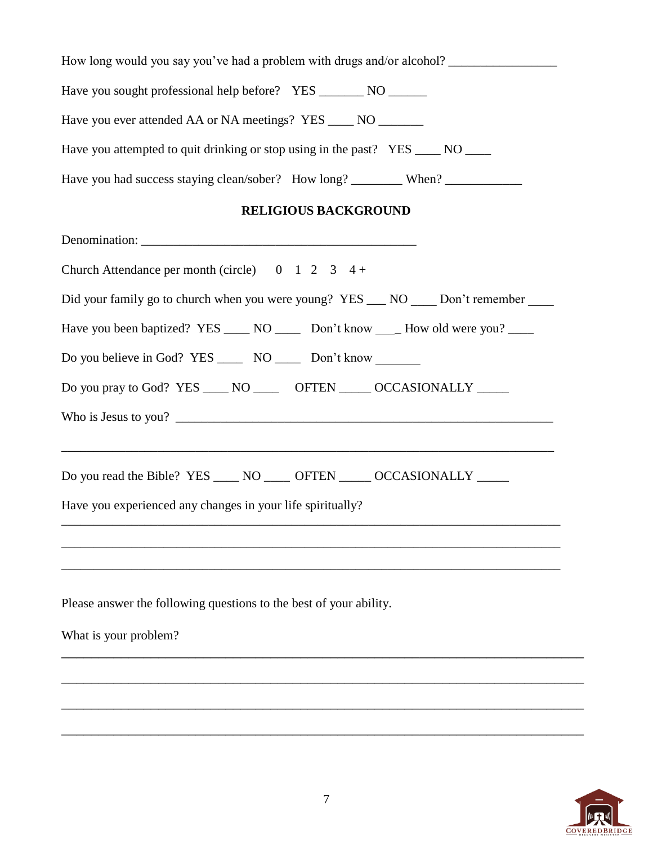| How long would you say you've had a problem with drugs and/or alcohol?          |
|---------------------------------------------------------------------------------|
|                                                                                 |
| Have you ever attended AA or NA meetings? YES ______ NO ________                |
| Have you attempted to quit drinking or stop using in the past? YES ____ NO ____ |
| Have you had success staying clean/sober? How long? _________ When?             |

### **RELIGIOUS BACKGROUND**

| Church Attendance per month (circle) $0 \t 1 \t 2 \t 3 \t 4 +$                        |
|---------------------------------------------------------------------------------------|
| Did your family go to church when you were young? YES __ NO __ Don't remember __      |
| Have you been baptized? YES ______ NO _______ Don't know ____ How old were you? _____ |
| Do you believe in God? YES _______ NO _______ Don't know                              |
| Do you pray to God? YES ____ NO _____ OFTEN ____ OCCASIONALLY _____                   |
| Who is Jesus to you?                                                                  |
| ,我们也不能在这里的人,我们也不能在这里的人,我们也不能在这里的人,我们也不能在这里的人,我们也不能在这里的人,我们也不能在这里的人,我们也不能在这里的人,我们也     |
| Do you read the Bible? YES ____ NO ____ OFTEN ____ OCCASIONALLY ____                  |
| Have you experienced any changes in your life spiritually?                            |
|                                                                                       |
|                                                                                       |
| Please answer the following questions to the best of your ability.                    |
| What is your problem?                                                                 |
|                                                                                       |
|                                                                                       |
|                                                                                       |

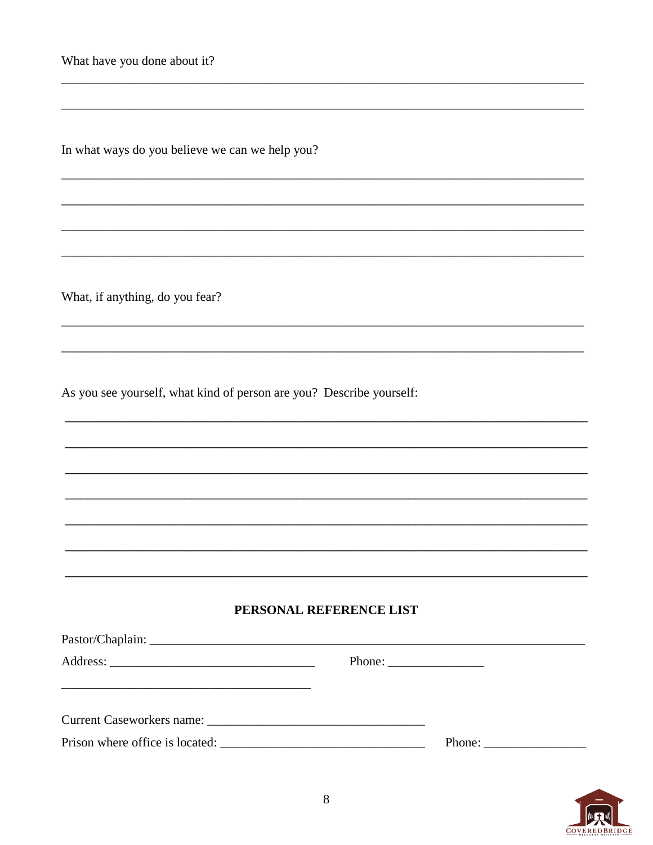What have you done about it?

In what ways do you believe we can we help you?

What, if anything, do you fear?

As you see yourself, what kind of person are you? Describe yourself:

#### PERSONAL REFERENCE LIST

| Current Caseworkers name: University of the Caseworkers name: |        |  |
|---------------------------------------------------------------|--------|--|
|                                                               | Phone: |  |